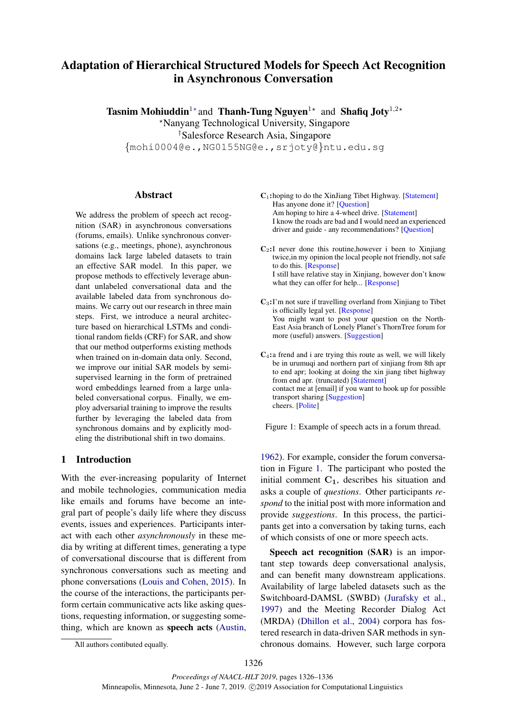# Adaptation of Hierarchical Structured Models for Speech Act Recognition in Asynchronous Conversation

Tasnim Mohiuddin<sup>1\*</sup> and Thanh-Tung Nguyen<sup>1\*</sup> and Shafiq Joty<sup>1,2\*</sup>

?Nanyang Technological University, Singapore

†Salesforce Research Asia, Singapore

{mohi0004@e.,NG0155NG@e.,srjoty@}ntu.edu.sg

## Abstract

We address the problem of speech act recognition (SAR) in asynchronous conversations (forums, emails). Unlike synchronous conversations (e.g., meetings, phone), asynchronous domains lack large labeled datasets to train an effective SAR model. In this paper, we propose methods to effectively leverage abundant unlabeled conversational data and the available labeled data from synchronous domains. We carry out our research in three main steps. First, we introduce a neural architecture based on hierarchical LSTMs and conditional random fields (CRF) for SAR, and show that our method outperforms existing methods when trained on in-domain data only. Second, we improve our initial SAR models by semisupervised learning in the form of pretrained word embeddings learned from a large unlabeled conversational corpus. Finally, we employ adversarial training to improve the results further by leveraging the labeled data from synchronous domains and by explicitly modeling the distributional shift in two domains.

## 1 Introduction

With the ever-increasing popularity of Internet and mobile technologies, communication media like emails and forums have become an integral part of people's daily life where they discuss events, issues and experiences. Participants interact with each other *asynchronously* in these media by writing at different times, generating a type of conversational discourse that is different from synchronous conversations such as meeting and phone conversations [\(Louis and Cohen,](#page-9-0) [2015\)](#page-9-0). In the course of the interactions, the participants perform certain communicative acts like asking questions, requesting information, or suggesting something, which are known as speech acts [\(Austin,](#page-9-1)

<span id="page-0-0"></span>

| $C_1$ : hoping to do the XinJiang Tibet Highway. [Statement] |
|--------------------------------------------------------------|
| Has anyone done it? [Question]                               |
| Am hoping to hire a 4-wheel drive. [Statement]               |
| I know the roads are bad and I would need an experienced     |
| driver and guide - any recommendations? [Question]           |
|                                                              |

 $C_2$ : I never done this routine, however i been to Xinjiang twice,in my opinion the local people not friendly, not safe to do this. [Response] I still have relative stay in Xinjiang, however don't know what they can offer for help... [Response]

C3:I'm not sure if travelling overland from Xinjiang to Tibet is officially legal yet. [Response] You might want to post your question on the North-East Asia branch of Lonely Planet's ThornTree forum for more (useful) answers. [Suggestion]

 $C_4$ : a frend and i are trying this route as well, we will likely be in urumuqi and northern part of xinjiang from 8th apr to end apr; looking at doing the xin jiang tibet highway from end apr. (truncated) [Statement] contact me at [email] if you want to hook up for possible transport sharing [Suggestion] cheers. [Polite]

Figure 1: Example of speech acts in a forum thread.

[1962\)](#page-9-1). For example, consider the forum conversation in Figure [1.](#page-0-0) The participant who posted the initial comment  $C_1$ , describes his situation and asks a couple of *questions*. Other participants *respond* to the initial post with more information and provide *suggestions*. In this process, the participants get into a conversation by taking turns, each of which consists of one or more speech acts.

Speech act recognition (SAR) is an important step towards deep conversational analysis, and can benefit many downstream applications. Availability of large labeled datasets such as the Switchboard-DAMSL (SWBD) [\(Jurafsky et al.,](#page-9-2) [1997\)](#page-9-2) and the Meeting Recorder Dialog Act (MRDA) [\(Dhillon et al.,](#page-9-3) [2004\)](#page-9-3) corpora has fostered research in data-driven SAR methods in synchronous domains. However, such large corpora

<sup>∗</sup>All authors contibuted equally.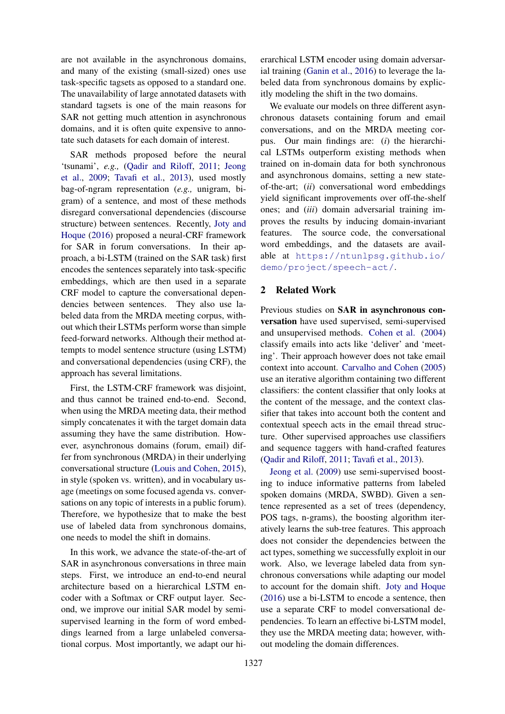are not available in the asynchronous domains, and many of the existing (small-sized) ones use task-specific tagsets as opposed to a standard one. The unavailability of large annotated datasets with standard tagsets is one of the main reasons for SAR not getting much attention in asynchronous domains, and it is often quite expensive to annotate such datasets for each domain of interest.

SAR methods proposed before the neural 'tsunami', *e.g.,* [\(Qadir and Riloff,](#page-10-0) [2011;](#page-10-0) [Jeong](#page-9-4) [et al.,](#page-9-4) [2009;](#page-9-4) [Tavafi et al.,](#page-10-1) [2013\)](#page-10-1), used mostly bag-of-ngram representation (*e.g.,* unigram, bigram) of a sentence, and most of these methods disregard conversational dependencies (discourse structure) between sentences. Recently, [Joty and](#page-9-5) [Hoque](#page-9-5) [\(2016\)](#page-9-5) proposed a neural-CRF framework for SAR in forum conversations. In their approach, a bi-LSTM (trained on the SAR task) first encodes the sentences separately into task-specific embeddings, which are then used in a separate CRF model to capture the conversational dependencies between sentences. They also use labeled data from the MRDA meeting corpus, without which their LSTMs perform worse than simple feed-forward networks. Although their method attempts to model sentence structure (using LSTM) and conversational dependencies (using CRF), the approach has several limitations.

First, the LSTM-CRF framework was disjoint, and thus cannot be trained end-to-end. Second, when using the MRDA meeting data, their method simply concatenates it with the target domain data assuming they have the same distribution. However, asynchronous domains (forum, email) differ from synchronous (MRDA) in their underlying conversational structure [\(Louis and Cohen,](#page-9-0) [2015\)](#page-9-0), in style (spoken vs. written), and in vocabulary usage (meetings on some focused agenda vs. conversations on any topic of interests in a public forum). Therefore, we hypothesize that to make the best use of labeled data from synchronous domains, one needs to model the shift in domains.

In this work, we advance the state-of-the-art of SAR in asynchronous conversations in three main steps. First, we introduce an end-to-end neural architecture based on a hierarchical LSTM encoder with a Softmax or CRF output layer. Second, we improve our initial SAR model by semisupervised learning in the form of word embeddings learned from a large unlabeled conversational corpus. Most importantly, we adapt our hierarchical LSTM encoder using domain adversarial training [\(Ganin et al.,](#page-9-6) [2016\)](#page-9-6) to leverage the labeled data from synchronous domains by explicitly modeling the shift in the two domains.

We evaluate our models on three different asynchronous datasets containing forum and email conversations, and on the MRDA meeting corpus. Our main findings are: (*i*) the hierarchical LSTMs outperform existing methods when trained on in-domain data for both synchronous and asynchronous domains, setting a new stateof-the-art; (*ii*) conversational word embeddings yield significant improvements over off-the-shelf ones; and (*iii*) domain adversarial training improves the results by inducing domain-invariant features. The source code, the conversational word embeddings, and the datasets are available at [https://ntunlpsg.github.io/](https://ntunlpsg.github.io/demo/project/speech-act/) [demo/project/speech-act/](https://ntunlpsg.github.io/demo/project/speech-act/).

### 2 Related Work

Previous studies on SAR in asynchronous conversation have used supervised, semi-supervised and unsupervised methods. [Cohen et al.](#page-9-7) [\(2004\)](#page-9-7) classify emails into acts like 'deliver' and 'meeting'. Their approach however does not take email context into account. [Carvalho and Cohen](#page-9-8) [\(2005\)](#page-9-8) use an iterative algorithm containing two different classifiers: the content classifier that only looks at the content of the message, and the context classifier that takes into account both the content and contextual speech acts in the email thread structure. Other supervised approaches use classifiers and sequence taggers with hand-crafted features [\(Qadir and Riloff,](#page-10-0) [2011;](#page-10-0) [Tavafi et al.,](#page-10-1) [2013\)](#page-10-1).

[Jeong et al.](#page-9-4) [\(2009\)](#page-9-4) use semi-supervised boosting to induce informative patterns from labeled spoken domains (MRDA, SWBD). Given a sentence represented as a set of trees (dependency, POS tags, n-grams), the boosting algorithm iteratively learns the sub-tree features. This approach does not consider the dependencies between the act types, something we successfully exploit in our work. Also, we leverage labeled data from synchronous conversations while adapting our model to account for the domain shift. [Joty and Hoque](#page-9-5) [\(2016\)](#page-9-5) use a bi-LSTM to encode a sentence, then use a separate CRF to model conversational dependencies. To learn an effective bi-LSTM model, they use the MRDA meeting data; however, without modeling the domain differences.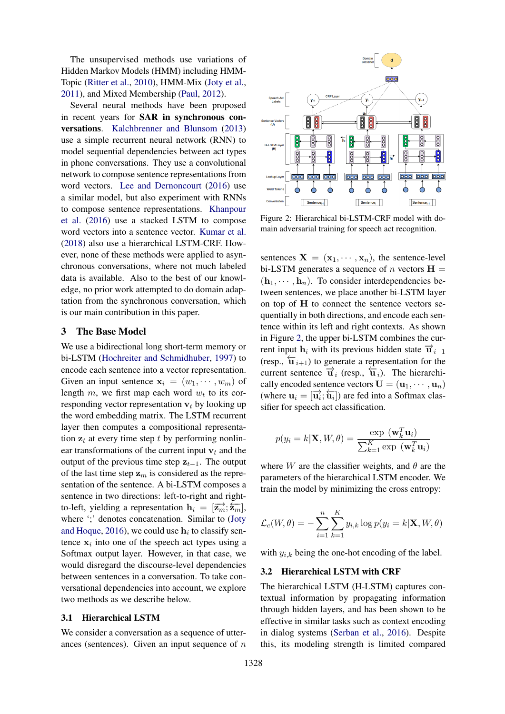The unsupervised methods use variations of Hidden Markov Models (HMM) including HMM-Topic [\(Ritter et al.,](#page-10-2) [2010\)](#page-10-2), HMM-Mix [\(Joty et al.,](#page-9-9) [2011\)](#page-9-9), and Mixed Membership [\(Paul,](#page-10-3) [2012\)](#page-10-3).

Several neural methods have been proposed in recent years for SAR in synchronous conversations. [Kalchbrenner and Blunsom](#page-9-10) [\(2013\)](#page-9-10) use a simple recurrent neural network (RNN) to model sequential dependencies between act types in phone conversations. They use a convolutional network to compose sentence representations from word vectors. [Lee and Dernoncourt](#page-9-11) [\(2016\)](#page-9-11) use a similar model, but also experiment with RNNs to compose sentence representations. [Khanpour](#page-9-12) [et al.](#page-9-12) [\(2016\)](#page-9-12) use a stacked LSTM to compose word vectors into a sentence vector. [Kumar et al.](#page-9-13) [\(2018\)](#page-9-13) also use a hierarchical LSTM-CRF. However, none of these methods were applied to asynchronous conversations, where not much labeled data is available. Also to the best of our knowledge, no prior work attempted to do domain adaptation from the synchronous conversation, which is our main contribution in this paper.

## 3 The Base Model

We use a bidirectional long short-term memory or bi-LSTM [\(Hochreiter and Schmidhuber,](#page-9-14) [1997\)](#page-9-14) to encode each sentence into a vector representation. Given an input sentence  $x_i = (w_1, \dots, w_m)$  of length  $m$ , we first map each word  $w_t$  to its corresponding vector representation  $v_t$  by looking up the word embedding matrix. The LSTM recurrent layer then computes a compositional representation  $z_t$  at every time step t by performing nonlinear transformations of the current input  $v_t$  and the output of the previous time step  $z_{t-1}$ . The output of the last time step  $z_m$  is considered as the representation of the sentence. A bi-LSTM composes a sentence in two directions: left-to-right and rightto-left, yielding a representation  $\mathbf{h}_i = [\overrightarrow{\mathbf{z}_m}; \overleftarrow{\mathbf{z}_m}],$ where ';' denotes concatenation. Similar to [\(Joty](#page-9-5) [and Hoque,](#page-9-5) [2016\)](#page-9-5), we could use  $h_i$  to classify sentence  $x_i$  into one of the speech act types using a Softmax output layer. However, in that case, we would disregard the discourse-level dependencies between sentences in a conversation. To take conversational dependencies into account, we explore two methods as we describe below.

## 3.1 Hierarchical LSTM

We consider a conversation as a sequence of utterances (sentences). Given an input sequence of  $n$ 

<span id="page-2-0"></span>

Figure 2: Hierarchical bi-LSTM-CRF model with domain adversarial training for speech act recognition.

sentences  $X = (x_1, \dots, x_n)$ , the sentence-level bi-LSTM generates a sequence of n vectors  $H =$  $(h_1, \dots, h_n)$ . To consider interdependencies between sentences, we place another bi-LSTM layer on top of H to connect the sentence vectors sequentially in both directions, and encode each sentence within its left and right contexts. As shown in Figure [2,](#page-2-0) the upper bi-LSTM combines the current input  $h_i$  with its previous hidden state  $\overrightarrow{u}_{i-1}$ (resp.,  $\overleftarrow{\mathbf{u}}_{i+1}$ ) to generate a representation for the current sentence  $\overrightarrow{u}_i$  (resp.,  $\overleftarrow{u}_i$ ). The hierarchically encoded sentence vectors  $\mathbf{U} = (\mathbf{u}_1, \cdots, \mathbf{u}_n)$ (where  $\mathbf{u}_i = [\overrightarrow{\mathbf{u}_i}; \overleftarrow{\mathbf{u}_i}]$ ) are fed into a Softmax classifier for speech act classification.

$$
p(y_i = k | \mathbf{X}, W, \theta) = \frac{\exp(\mathbf{w}_k^T \mathbf{u}_i)}{\sum_{k=1}^K \exp(\mathbf{w}_k^T \mathbf{u}_i)}
$$

where W are the classifier weights, and  $\theta$  are the parameters of the hierarchical LSTM encoder. We train the model by minimizing the cross entropy:

$$
\mathcal{L}_c(W, \theta) = -\sum_{i=1}^n \sum_{k=1}^K y_{i,k} \log p(y_i = k | \mathbf{X}, W, \theta)
$$

with  $y_{i,k}$  being the one-hot encoding of the label.

## 3.2 Hierarchical LSTM with CRF

The hierarchical LSTM (H-LSTM) captures contextual information by propagating information through hidden layers, and has been shown to be effective in similar tasks such as context encoding in dialog systems [\(Serban et al.,](#page-10-4) [2016\)](#page-10-4). Despite this, its modeling strength is limited compared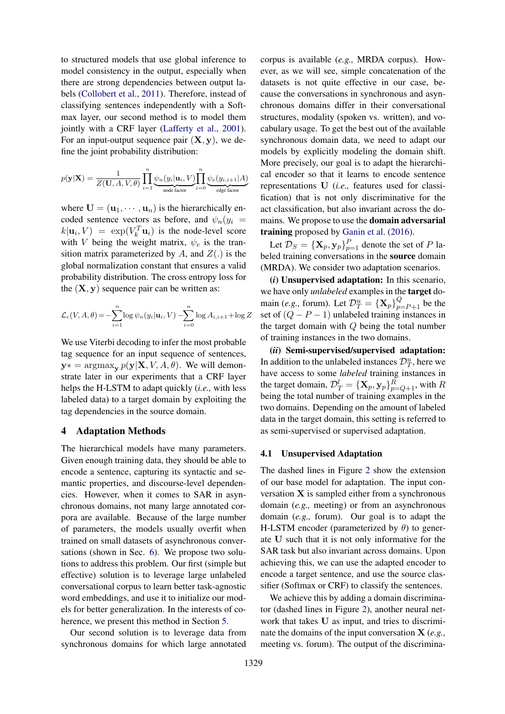to structured models that use global inference to model consistency in the output, especially when there are strong dependencies between output labels [\(Collobert et al.,](#page-9-15) [2011\)](#page-9-15). Therefore, instead of classifying sentences independently with a Softmax layer, our second method is to model them jointly with a CRF layer [\(Lafferty et al.,](#page-9-16) [2001\)](#page-9-16). For an input-output sequence pair  $(X, y)$ , we define the joint probability distribution:

$$
p(\mathbf{y}|\mathbf{X}) = \frac{1}{Z(\mathbf{U}, A, V, \theta)} \prod_{i=1}^{n} \underbrace{\psi_n(y_i|\mathbf{u}_i, V)}_{\text{node factor}} \prod_{i=0}^{n} \underbrace{\psi_e(y_{i,i+1}|A)}_{\text{edge factor}}
$$

where  $\mathbf{U} = (\mathbf{u}_1, \cdots, \mathbf{u}_n)$  is the hierarchically encoded sentence vectors as before, and  $\psi_n(y_i)$  $k|\mathbf{u}_i, V| = \exp(V_k^T \mathbf{u}_i)$  is the node-level score with V being the weight matrix,  $\psi_e$  is the transition matrix parameterized by A, and  $Z(.)$  is the global normalization constant that ensures a valid probability distribution. The cross entropy loss for the  $(X, y)$  sequence pair can be written as:

$$
\mathcal{L}_c(V, A, \theta) = -\sum_{i=1}^n \log \psi_n(y_i | \mathbf{u}_i, V) - \sum_{i=0}^n \log A_{i, i+1} + \log Z
$$

We use Viterbi decoding to infer the most probable tag sequence for an input sequence of sentences,  $y* = \argmax_{y} p(y|X, V, A, \theta)$ . We will demonstrate later in our experiments that a CRF layer helps the H-LSTM to adapt quickly (*i.e.,* with less labeled data) to a target domain by exploiting the tag dependencies in the source domain.

## 4 Adaptation Methods

The hierarchical models have many parameters. Given enough training data, they should be able to encode a sentence, capturing its syntactic and semantic properties, and discourse-level dependencies. However, when it comes to SAR in asynchronous domains, not many large annotated corpora are available. Because of the large number of parameters, the models usually overfit when trained on small datasets of asynchronous conversations (shown in Sec. [6\)](#page-5-0). We propose two solutions to address this problem. Our first (simple but effective) solution is to leverage large unlabeled conversational corpus to learn better task-agnostic word embeddings, and use it to initialize our models for better generalization. In the interests of coherence, we present this method in Section [5.](#page-4-0)

Our second solution is to leverage data from synchronous domains for which large annotated

corpus is available (*e.g.,* MRDA corpus). However, as we will see, simple concatenation of the datasets is not quite effective in our case, because the conversations in synchronous and asynchronous domains differ in their conversational structures, modality (spoken vs. written), and vocabulary usage. To get the best out of the available synchronous domain data, we need to adapt our models by explicitly modeling the domain shift. More precisely, our goal is to adapt the hierarchical encoder so that it learns to encode sentence representations U (*i.e.,* features used for classification) that is not only discriminative for the act classification, but also invariant across the domains. We propose to use the domain adversarial training proposed by [Ganin et al.](#page-9-6) [\(2016\)](#page-9-6).

Let  $\mathcal{D}_S = {\{\mathbf{X}_p, \mathbf{y}_p\}}_{p=1}^P$  denote the set of P labeled training conversations in the source domain (MRDA). We consider two adaptation scenarios.

(*i*) Unsupervised adaptation: In this scenario, we have only *unlabeled* examples in the target domain (*e.g.*, forum). Let  $\mathcal{D}_{T}^{u} = {\mathbf{X}_{p}}_{p=p+1}^{Q}$  be the set of  $(Q - P - 1)$  unlabeled training instances in the target domain with Q being the total number of training instances in the two domains.

(*ii*) Semi-supervised/supervised adaptation: In addition to the unlabeled instances  $\mathcal{D}_T^u$ , here we have access to some *labeled* training instances in the target domain,  $\mathcal{D}_T^l = {\{\mathbf{X}_p, \mathbf{y}_p\}}_{p=Q+1}^R$ , with  $R$ being the total number of training examples in the two domains. Depending on the amount of labeled data in the target domain, this setting is referred to as semi-supervised or supervised adaptation.

#### 4.1 Unsupervised Adaptation

The dashed lines in Figure [2](#page-2-0) show the extension of our base model for adaptation. The input conversation  $X$  is sampled either from a synchronous domain (*e.g.,* meeting) or from an asynchronous domain (*e.g.,* forum). Our goal is to adapt the H-LSTM encoder (parameterized by  $\theta$ ) to generate U such that it is not only informative for the SAR task but also invariant across domains. Upon achieving this, we can use the adapted encoder to encode a target sentence, and use the source classifier (Softmax or CRF) to classify the sentences.

We achieve this by adding a domain discriminator (dashed lines in Figure [2\)](#page-2-0), another neural network that takes U as input, and tries to discriminate the domains of the input conversation X (*e.g.,* meeting vs. forum). The output of the discrimina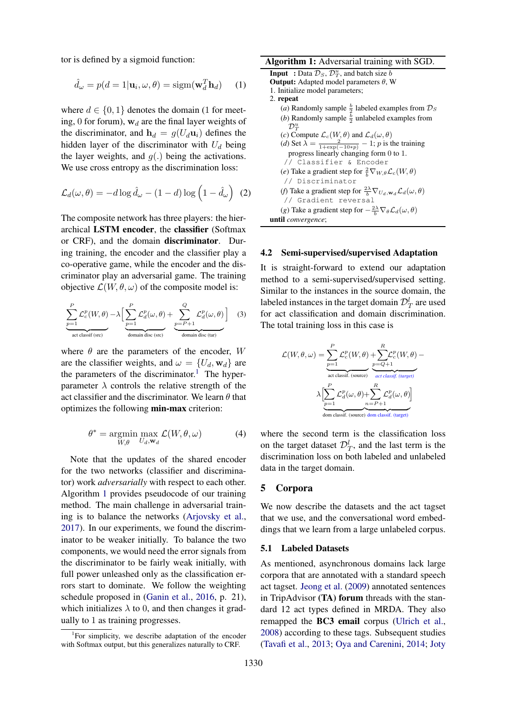tor is defined by a sigmoid function:

$$
\hat{d}_{\omega} = p(d = 1 | \mathbf{u}_i, \omega, \theta) = \text{sigm}(\mathbf{w}_d^T \mathbf{h}_d) \quad (1)
$$

where  $d \in \{0, 1\}$  denotes the domain (1 for meeting, 0 for forum),  $w_d$  are the final layer weights of the discriminator, and  $h_d = g(U_d \mathbf{u}_i)$  defines the hidden layer of the discriminator with  $U_d$  being the layer weights, and  $q(.)$  being the activations. We use cross entropy as the discrimination loss:

$$
\mathcal{L}_d(\omega,\theta) = -d \log \hat{d}_{\omega} - (1-d) \log \left(1 - \hat{d}_{\omega}\right) \tag{2}
$$

The composite network has three players: the hierarchical LSTM encoder, the classifier (Softmax or CRF), and the domain discriminator. During training, the encoder and the classifier play a co-operative game, while the encoder and the discriminator play an adversarial game. The training objective  $\mathcal{L}(W, \theta, \omega)$  of the composite model is:

$$
\sum_{p=1}^{P} \mathcal{L}_{c}^{p}(W, \theta) - \lambda \Big[ \sum_{p=1}^{P} \mathcal{L}_{d}^{p}(\omega, \theta) + \sum_{p=P+1}^{Q} \mathcal{L}_{d}^{p}(\omega, \theta) \Big]
$$
(3)

where  $\theta$  are the parameters of the encoder, W are the classifier weights, and  $\omega = \{U_d, \mathbf{w}_d\}$  are the parameters of the discriminator.<sup>[1](#page-4-1)</sup> The hyperparameter  $\lambda$  controls the relative strength of the act classifier and the discriminator. We learn  $\theta$  that optimizes the following min-max criterion:

$$
\theta^* = \underset{W,\theta}{\text{argmin}} \max_{U_d, \mathbf{w}_d} \mathcal{L}(W, \theta, \omega) \tag{4}
$$

Note that the updates of the shared encoder for the two networks (classifier and discriminator) work *adversarially* with respect to each other. Algorithm [1](#page-4-2) provides pseudocode of our training method. The main challenge in adversarial training is to balance the networks [\(Arjovsky et al.,](#page-9-17) [2017\)](#page-9-17). In our experiments, we found the discriminator to be weaker initially. To balance the two components, we would need the error signals from the discriminator to be fairly weak initially, with full power unleashed only as the classification errors start to dominate. We follow the weighting schedule proposed in [\(Ganin et al.,](#page-9-6) [2016,](#page-9-6) p. 21), which initializes  $\lambda$  to 0, and then changes it gradually to 1 as training progresses.

#### Algorithm 1: Adversarial training with SGD.

| <b>Input</b> : Data $\mathcal{D}_S$ , $\mathcal{D}_T^u$ , and batch size b                                                                          |
|-----------------------------------------------------------------------------------------------------------------------------------------------------|
| <b>Output:</b> Adapted model parameters $\theta$ , W                                                                                                |
| 1. Initialize model parameters;                                                                                                                     |
| 2. repeat                                                                                                                                           |
| ( <i>a</i> ) Randomly sample $\frac{b}{2}$ labeled examples from $\mathcal{D}_S$                                                                    |
| ( <i>b</i> ) Randomly sample $\frac{b}{2}$ unlabeled examples from                                                                                  |
| $\mathcal{D}_{\mathcal{T}}^u$                                                                                                                       |
|                                                                                                                                                     |
| (c) Compute $\mathcal{L}_c(W, \theta)$ and $\mathcal{L}_d(\omega, \theta)$<br>(d) Set $\lambda = \frac{2}{1 + \exp(-10*p)} - 1$ ; p is the training |
| progress linearly changing form 0 to 1.                                                                                                             |
| // Classifier & Encoder                                                                                                                             |
| (e) Take a gradient step for $\frac{2}{b} \nabla_{W,\theta} \mathcal{L}_c(W, \theta)$                                                               |
| // Discriminator                                                                                                                                    |
| (f) Take a gradient step for $\frac{2\lambda}{b} \nabla_{U_d, \mathbf{w}_d} \mathcal{L}_d(\omega, \theta)$                                          |
| // Gradient reversal                                                                                                                                |
| (g) Take a gradient step for $-\frac{2\lambda}{h}\nabla_{\theta} \mathcal{L}_d(\omega,\theta)$                                                      |
| <b>until</b> convergence;                                                                                                                           |
|                                                                                                                                                     |

#### <span id="page-4-2"></span>4.2 Semi-supervised/supervised Adaptation

It is straight-forward to extend our adaptation method to a semi-supervised/supervised setting. Similar to the instances in the source domain, the labeled instances in the target domain  $\mathcal{D}_T^l$  are used for act classification and domain discrimination. The total training loss in this case is

$$
\mathcal{L}(W,\theta,\omega) = \underbrace{\sum_{p=1}^{P} \mathcal{L}_{c}^{p}(W,\theta)}_{\text{act classif. (source)}} + \underbrace{\sum_{p=Q+1}^{R} \mathcal{L}_{c}^{p}(W,\theta)}_{\text{act classif. (target)}} - \sum_{q \text{ at class if. (target)}} \newline \lambda \left[ \underbrace{\sum_{p=1}^{P} \mathcal{L}_{d}^{p}(\omega,\theta)}_{\text{dom classif. (source)} \text{ dom classif. (target)}}_{\text{dom classif. (target)}} \right]
$$

where the second term is the classification loss on the target dataset  $\mathcal{D}_T^l$ , and the last term is the discrimination loss on both labeled and unlabeled data in the target domain.

#### <span id="page-4-0"></span>5 Corpora

We now describe the datasets and the act tagset that we use, and the conversational word embeddings that we learn from a large unlabeled corpus.

#### 5.1 Labeled Datasets

As mentioned, asynchronous domains lack large corpora that are annotated with a standard speech act tagset. [Jeong et al.](#page-9-4) [\(2009\)](#page-9-4) annotated sentences in TripAdvisor (TA) forum threads with the standard 12 act types defined in MRDA. They also remapped the BC3 email corpus [\(Ulrich et al.,](#page-10-5) [2008\)](#page-10-5) according to these tags. Subsequent studies [\(Tavafi et al.,](#page-10-1) [2013;](#page-10-1) [Oya and Carenini,](#page-9-18) [2014;](#page-9-18) [Joty](#page-9-5)

<span id="page-4-1"></span><sup>&</sup>lt;sup>1</sup>For simplicity, we describe adaptation of the encoder with Softmax output, but this generalizes naturally to CRF.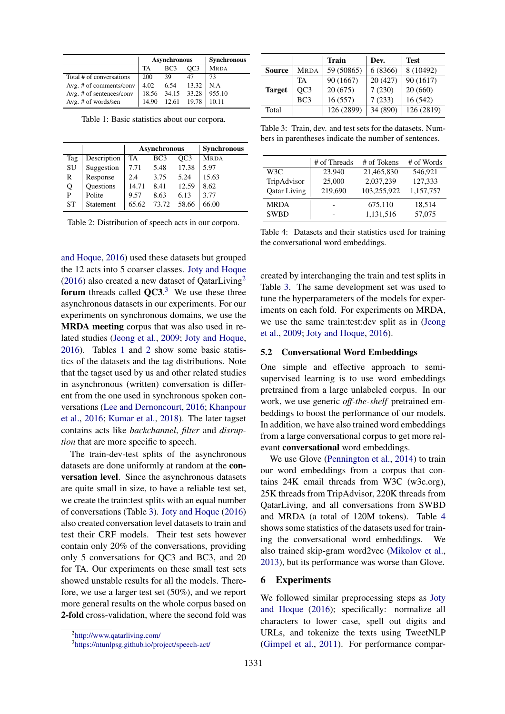<span id="page-5-3"></span>

|                          |     | <b>Asynchronous</b> | <b>Synchronous</b> |                              |
|--------------------------|-----|---------------------|--------------------|------------------------------|
|                          | TA  | BC <sub>3</sub>     | OC <sub>3</sub>    | <b>MRDA</b>                  |
| Total # of conversations | 200 | 39                  | 47                 | 73                           |
| Avg. # of comments/conv  |     |                     | $4.02$ 6.54 13.32  | $\overline{\phantom{a}}$ N.A |
| Avg. # of sentences/conv |     | 18.56 34.15 33.28   |                    | 955.10                       |
| Avg. # of words/sen      |     | 14.90 12.61 19.78   |                    | 10.11                        |

Table 1: Basic statistics about our corpora.

<span id="page-5-4"></span>

|           |                  |       | <b>Asynchronous</b> | <b>Synchronous</b> |             |
|-----------|------------------|-------|---------------------|--------------------|-------------|
| Tag       | Description      | TA    | BC <sub>3</sub>     | OC <sub>3</sub>    | <b>MRDA</b> |
| SU        | Suggestion       | 7.71  | 5.48                | 17.38              | 5.97        |
| R         | Response         | 2.4   | 3.75                | 5.24               | 15.63       |
| Q         | <b>Ouestions</b> | 14.71 | 8.41                | 12.59              | 8.62        |
| P         | Polite           | 9.57  | 8.63                | 6.13               | 3.77        |
| <b>ST</b> | Statement        | 65.62 | 73.72               | 58.66              | 66.00       |

Table 2: Distribution of speech acts in our corpora.

[and Hoque,](#page-9-5) [2016\)](#page-9-5) used these datasets but grouped the 12 acts into 5 coarser classes. [Joty and Hoque](#page-9-5) [\(2016\)](#page-9-5) also created a new dataset of QatarLiving<sup>[2](#page-5-1)</sup> forum threads called  $QC3$  $QC3$ .<sup>3</sup> We use these three asynchronous datasets in our experiments. For our experiments on synchronous domains, we use the MRDA meeting corpus that was also used in related studies [\(Jeong et al.,](#page-9-4) [2009;](#page-9-4) [Joty and Hoque,](#page-9-5) [2016\)](#page-9-5). Tables [1](#page-5-3) and [2](#page-5-4) show some basic statistics of the datasets and the tag distributions. Note that the tagset used by us and other related studies in asynchronous (written) conversation is different from the one used in synchronous spoken conversations [\(Lee and Dernoncourt,](#page-9-11) [2016;](#page-9-11) [Khanpour](#page-9-12) [et al.,](#page-9-12) [2016;](#page-9-12) [Kumar et al.,](#page-9-13) [2018\)](#page-9-13). The later tagset contains acts like *backchannel*, *filter* and *disruption* that are more specific to speech.

The train-dev-test splits of the asynchronous datasets are done uniformly at random at the conversation level. Since the asynchronous datasets are quite small in size, to have a reliable test set, we create the train:test splits with an equal number of conversations (Table [3\)](#page-5-5). [Joty and Hoque](#page-9-5) [\(2016\)](#page-9-5) also created conversation level datasets to train and test their CRF models. Their test sets however contain only 20% of the conversations, providing only 5 conversations for QC3 and BC3, and 20 for TA. Our experiments on these small test sets showed unstable results for all the models. Therefore, we use a larger test set (50%), and we report more general results on the whole corpus based on 2-fold cross-validation, where the second fold was

<span id="page-5-5"></span>

|               |             | <b>Train</b> | Dev.     | <b>Test</b> |
|---------------|-------------|--------------|----------|-------------|
| <b>Source</b> | <b>MRDA</b> | 59 (50865)   | 6 (8366) | 8 (10492)   |
|               | TA          | 90 (1667)    | 20(427)  | 90 (1617)   |
| <b>Target</b> | OC3         | 20(675)      | 7(230)   | 20(660)     |
|               | BC3         | 16(557)      | 7(233)   | 16(542)     |
| Total         |             | 126 (2899)   | 34 (890) | 126 (2819)  |

Table 3: Train, dev. and test sets for the datasets. Numbers in parentheses indicate the number of sentences.

<span id="page-5-6"></span>

|                     | # of Threads | # of Tokens | # of Words |
|---------------------|--------------|-------------|------------|
| W3C                 | 23.940       | 21,465,830  | 546,921    |
| TripAdvisor         | 25,000       | 2,037,239   | 127,333    |
| <b>Qatar Living</b> | 219,690      | 103,255,922 | 1,157,757  |
| <b>MRDA</b>         |              | 675,110     | 18,514     |
| <b>SWBD</b>         |              | 1,131,516   | 57,075     |

Table 4: Datasets and their statistics used for training the conversational word embeddings.

created by interchanging the train and test splits in Table [3.](#page-5-5) The same development set was used to tune the hyperparameters of the models for experiments on each fold. For experiments on MRDA, we use the same train:test:dev split as in [\(Jeong](#page-9-4) [et al.,](#page-9-4) [2009;](#page-9-4) [Joty and Hoque,](#page-9-5) [2016\)](#page-9-5).

#### 5.2 Conversational Word Embeddings

One simple and effective approach to semisupervised learning is to use word embeddings pretrained from a large unlabeled corpus. In our work, we use generic *off-the-shelf* pretrained embeddings to boost the performance of our models. In addition, we have also trained word embeddings from a large conversational corpus to get more relevant conversational word embeddings.

We use Glove [\(Pennington et al.,](#page-10-6) [2014\)](#page-10-6) to train our word embeddings from a corpus that contains 24K email threads from W3C (w3c.org), 25K threads from TripAdvisor, 220K threads from QatarLiving, and all conversations from SWBD and MRDA (a total of 120M tokens). Table [4](#page-5-6) shows some statistics of the datasets used for training the conversational word embeddings. We also trained skip-gram word2vec [\(Mikolov et al.,](#page-9-19) [2013\)](#page-9-19), but its performance was worse than Glove.

#### <span id="page-5-0"></span>6 Experiments

We followed similar preprocessing steps as [Joty](#page-9-5) [and Hoque](#page-9-5) [\(2016\)](#page-9-5); specifically: normalize all characters to lower case, spell out digits and URLs, and tokenize the texts using TweetNLP [\(Gimpel et al.,](#page-9-20) [2011\)](#page-9-20). For performance compar-

<span id="page-5-1"></span><sup>2</sup> <http://www.qatarliving.com/>

<span id="page-5-2"></span><sup>3</sup> <https://ntunlpsg.github.io/project/speech-act/>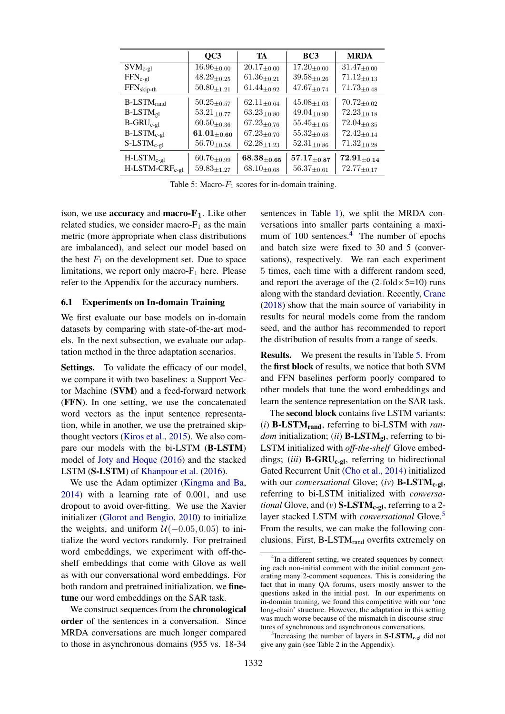<span id="page-6-1"></span>

|                               | OC3                | TA                           | BC <sub>3</sub>              | <b>MRDA</b>                |
|-------------------------------|--------------------|------------------------------|------------------------------|----------------------------|
| $SVM_{c-gl}$                  | $16.96_{\pm 0.00}$ | $20.17_{\pm 0.00}$           | $17.20_{\pm 0.00}$           | $31.47_{\pm 0.00}$         |
| $FFN_{c-gl}$                  | $48.29_{\pm 0.25}$ | $61.36_{\pm0.21}$            | $39.58_{\pm 0.26}$           | $71.12_{\pm 0.13}$         |
| $FFNskip-th$                  | $50.80_{\pm 1.21}$ | $61.44_{\pm 0.92}$           | $47.67_{\pm 0.74}$           | $71.73_{\pm 0.48}$         |
| $B$ -LST $M_{rand}$           | $50.25_{\pm 0.57}$ | $62.11_{\pm 0.64}$           | $45.08_{\pm 1.03}$           | $70.72_{\pm 0.02}$         |
| $B$ -LST $M_{gl}$             | $53.21_{\pm 0.77}$ | $63.23_{\pm 0.80}$           | $49.04_{\pm 0.90}$           | $72.23_{\pm 0.18}$         |
| $B-GRU_{c-gl}$                | $60.50_{\pm 0.36}$ | $67.23_{\pm 0.76}$           | $55.45_{\pm 1.05}$           | $72.04_{\pm 0.35}$         |
| $B$ -LST $M_{c-gl}$           | $61.01_{\pm 0.60}$ | $67.23_{\pm 0.70}$           | $55.32_{\pm 0.68}$           | $72.42_{\pm 0.14}$         |
| $S$ -LST $M_{c-gl}$           | $56.70_{\pm 0.58}$ | $62.28{\scriptstyle\pm1.23}$ | $52.31{\scriptstyle\pm0.86}$ | $71.32_{\pm 0.28}$         |
| $H$ -LST $M_{c-gl}$           | $60.76_{\pm 0.99}$ | $68.38_{\pm0.65}$            | $57.17_{\pm 0.87}$           | $\mathbf{72.91}_{\pm0.14}$ |
| $H$ -LSTM-CRF <sub>c-gl</sub> | $59.83_{\pm 1.27}$ | $68.10_{\pm 0.68}$           | $56.37_{\pm 0.61}$           | $72.77_{\pm 0.17}$         |

Table 5: Macro- $F_1$  scores for in-domain training.

ison, we use **accuracy** and **macro-F<sub>1</sub>**. Like other related studies, we consider macro- $F_1$  as the main metric (more appropriate when class distributions are imbalanced), and select our model based on the best  $F_1$  on the development set. Due to space limitations, we report only macro- $F_1$  here. Please refer to the Appendix for the accuracy numbers.

#### 6.1 Experiments on In-domain Training

We first evaluate our base models on in-domain datasets by comparing with state-of-the-art models. In the next subsection, we evaluate our adaptation method in the three adaptation scenarios.

Settings. To validate the efficacy of our model, we compare it with two baselines: a Support Vector Machine (SVM) and a feed-forward network (FFN). In one setting, we use the concatenated word vectors as the input sentence representation, while in another, we use the pretrained skipthought vectors [\(Kiros et al.,](#page-9-21) [2015\)](#page-9-21). We also compare our models with the bi-LSTM (B-LSTM) model of [Joty and Hoque](#page-9-5) [\(2016\)](#page-9-5) and the stacked LSTM (S-LSTM) of [Khanpour et al.](#page-9-12) [\(2016\)](#page-9-12).

We use the Adam optimizer [\(Kingma and Ba,](#page-9-22) [2014\)](#page-9-22) with a learning rate of 0.001, and use dropout to avoid over-fitting. We use the Xavier initializer [\(Glorot and Bengio,](#page-9-23) [2010\)](#page-9-23) to initialize the weights, and uniform  $U(-0.05, 0.05)$  to initialize the word vectors randomly. For pretrained word embeddings, we experiment with off-theshelf embeddings that come with Glove as well as with our conversational word embeddings. For both random and pretrained initialization, we finetune our word embeddings on the SAR task.

We construct sequences from the **chronological** order of the sentences in a conversation. Since MRDA conversations are much longer compared to those in asynchronous domains (955 vs. 18-34

sentences in Table [1\)](#page-5-3), we split the MRDA conversations into smaller parts containing a maximum of  $100$  sentences.<sup>[4](#page-6-0)</sup> The number of epochs and batch size were fixed to 30 and 5 (conversations), respectively. We ran each experiment 5 times, each time with a different random seed, and report the average of the  $(2\text{-fold}\times5=10)$  runs along with the standard deviation. Recently, [Crane](#page-9-24) [\(2018\)](#page-9-24) show that the main source of variability in results for neural models come from the random seed, and the author has recommended to report the distribution of results from a range of seeds.

Results. We present the results in Table [5.](#page-6-1) From the first block of results, we notice that both SVM and FFN baselines perform poorly compared to other models that tune the word embeddings and learn the sentence representation on the SAR task.

The second block contains five LSTM variants:  $(i)$  **B-LSTM**<sub>rand</sub>, referring to bi-LSTM with *random* initialization; (*ii*) **B-LSTM<sub>gl</sub>**, referring to bi-LSTM initialized with *off-the-shelf* Glove embeddings; (*iii*) **B-GRU<sub>c-gl</sub>**, referring to bidirectional Gated Recurrent Unit [\(Cho et al.,](#page-9-25) [2014\)](#page-9-25) initialized with our *conversational* Glove; (*iv*) **B-LSTM<sub>c-gl</sub>**, referring to bi-LSTM initialized with *conversational* Glove, and  $(v)$  **S-LSTM<sub>c-gl</sub>**, referring to a 2layer stacked LSTM with *conversational* Glove.[5](#page-6-2) From the results, we can make the following conclusions. First,  $B$ -LSTM<sub>rand</sub> overfits extremely on

<span id="page-6-0"></span><sup>&</sup>lt;sup>4</sup>In a different setting, we created sequences by connecting each non-initial comment with the initial comment generating many 2-comment sequences. This is considering the fact that in many QA forums, users mostly answer to the questions asked in the initial post. In our experiments on in-domain training, we found this competitive with our 'one long-chain' structure. However, the adaptation in this setting was much worse because of the mismatch in discourse structures of synchronous and asynchronous conversations.

<span id="page-6-2"></span><sup>&</sup>lt;sup>5</sup>Increasing the number of layers in  $S\text{-LSTM}_{c-gl}$  did not give any gain (see Table 2 in the Appendix).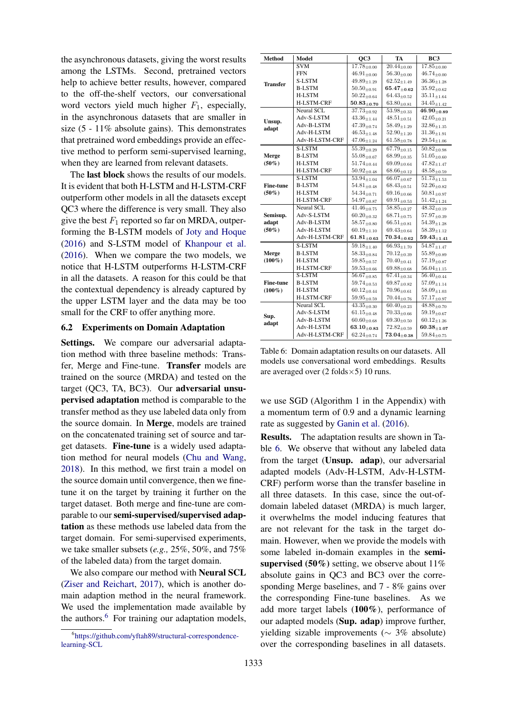the asynchronous datasets, giving the worst results among the LSTMs. Second, pretrained vectors help to achieve better results, however, compared to the off-the-shelf vectors, our conversational word vectors yield much higher  $F_1$ , especially, in the asynchronous datasets that are smaller in size (5 - 11% absolute gains). This demonstrates that pretrained word embeddings provide an effective method to perform semi-supervised learning, when they are learned from relevant datasets.

The **last block** shows the results of our models. It is evident that both H-LSTM and H-LSTM-CRF outperform other models in all the datasets except QC3 where the difference is very small. They also give the best  $F_1$  reported so far on MRDA, outperforming the B-LSTM models of [Joty and Hoque](#page-9-5) [\(2016\)](#page-9-5) and S-LSTM model of [Khanpour et al.](#page-9-12) [\(2016\)](#page-9-12). When we compare the two models, we notice that H-LSTM outperforms H-LSTM-CRF in all the datasets. A reason for this could be that the contextual dependency is already captured by the upper LSTM layer and the data may be too small for the CRF to offer anything more.

#### 6.2 Experiments on Domain Adaptation

Settings. We compare our adversarial adaptation method with three baseline methods: Transfer, Merge and Fine-tune. Transfer models are trained on the source (MRDA) and tested on the target (QC3, TA, BC3). Our adversarial unsupervised adaptation method is comparable to the transfer method as they use labeled data only from the source domain. In Merge, models are trained on the concatenated training set of source and target datasets. Fine-tune is a widely used adaptation method for neural models [\(Chu and Wang,](#page-9-26) [2018\)](#page-9-26). In this method, we first train a model on the source domain until convergence, then we finetune it on the target by training it further on the target dataset. Both merge and fine-tune are comparable to our semi-supervised/supervised adaptation as these methods use labeled data from the target domain. For semi-supervised experiments, we take smaller subsets (*e.g.,* 25%, 50%, and 75% of the labeled data) from the target domain.

We also compare our method with Neural SCL [\(Ziser and Reichart,](#page-10-7) [2017\)](#page-10-7), which is another domain adaption method in the neural framework. We used the implementation made available by the authors.<sup>[6](#page-7-0)</sup> For training our adaptation models,

<span id="page-7-1"></span>

| <b>Method</b>    | Model             | OC3                           | TA                                  | BC <sub>3</sub>               |
|------------------|-------------------|-------------------------------|-------------------------------------|-------------------------------|
|                  | SVM               | $17.78_{\pm 0.00}$            | $\overline{20.44}_{\pm 0.00}$       | $17.85_{\pm{0.00}}$           |
|                  | <b>FFN</b>        | $46.91_{\pm 0.00}$            | $56.30_{\pm0.00}$                   | $46.74_{\pm0.00}$             |
| <b>Transfer</b>  | <b>S-LSTM</b>     | $49.89_{\pm 1.29}$            | $62.52_{\pm 1.49}$                  | $36.36_{\pm 1.28}$            |
|                  | <b>B-LSTM</b>     | $50.50_{\pm0.91}$             | $65.47_{\pm0.62}$                   | $35.92_{\pm0.62}$             |
|                  | <b>H-LSTM</b>     | $50.22_{\pm0.64}$             | $64.43_{\pm 0.52}$                  | $35.11_{\pm 1.64}$            |
|                  | <b>H-LSTM-CRF</b> | $50.83_{\pm 0.70}$            | $63.80_{\pm 0.81}$                  | $34.45_{\pm 1.42}$            |
|                  | Neural SCL        | $37.73_{\pm 0.92}$            | $53.98_{\pm 0.33}$                  | $\overline{4}6.90_{\pm0.89}$  |
| Unsup.           | Adv-S-LSTM        | $43.36_{\pm 1.44}$            | $48.51_{+0.51}$                     | $42.05_{\pm 0.21}$            |
| adapt            | Adv-B-LSTM        | $47.39_{\pm 0.74}$            | $58.49_{\pm 1.29}$                  | $32.86_{\pm 1.35}$            |
|                  | Adv-H-LSTM        | $46.53_{\pm 1.48}$            | $52.90_{\pm1.20}$                   | $31.36_{\pm 1.91}$            |
|                  | Adv-H-LSTM-CRF    | $47.06_{\pm 1.24}$            | $61.58_{\pm0.78}$                   | $29.54_{\pm 1.06}$            |
|                  | <b>S-LSTM</b>     | $55.39_{\pm 0.29}$            | $67.79_{\pm 0.15}$                  | $50.82_{\pm 0.98}$            |
| Merge            | <b>B-LSTM</b>     | $55.08_{\pm 0.67}$            | $68.99{\scriptstyle \pm 0.35}$      | $51.05 \pm 0.60$              |
| $(50\%)$         | <b>H-LSTM</b>     | $51.74_{\pm 0.44}$            | $69.09_{\pm 0.64}$                  | $47.82_{\pm 1.47}$            |
|                  | <b>H-LSTM-CRF</b> | $50.92_{\pm0.48}$             | $68.66_{\pm 0.12}$                  | $48.58_{\pm 0.59}$            |
|                  | <b>S-LSTM</b>     | $\overline{53.94}_{\pm 1.04}$ | $66.07_{\pm 0.67}$                  | $\overline{51.73}_{\pm 1.53}$ |
| <b>Fine-tune</b> | <b>B-LSTM</b>     | $54.81_{\pm 0.48}$            | $68.43_{\pm0.51}$                   | $52.26_{\pm0.82}$             |
| $(50\%)$         | <b>H-LSTM</b>     | $54.34_{\pm 0.71}$            | $69.16_{\pm0.66}$                   | $50.81_{\pm 0.97}$            |
|                  | <b>H-LSTM-CRF</b> | $54.97_{\pm0.87}$             | $69.91_{\pm0.53}$                   | $51.42_{\pm 1.24}$            |
|                  | Neural SCL        | $41.46_{\pm 0.75}$            | $\overline{58.8}5_{\pm 0.27}$       | $48.32_{\pm0.19}$             |
| Semisup.         | Adv-S-LSTM        | $60.20_{\pm0.32}$             | $68.71_{\pm 0.75}$                  | $57.97_{\pm0.39}$             |
| adapt            | Adv-B-LSTM        | $58.57_{\pm0.80}$             | $66.51_{\pm0.81}$                   | $54.39_{\pm 1.28}$            |
| $(50\%)$         | Adv-H-LSTM        | $60.19_{\pm 1.10}$            | $69.43_{\pm 0.64}$                  | $58.39_{\pm 1.12}$            |
|                  | Adv-H-LSTM-CRF    | $61.81_{\pm 0.63}$            | $\textbf{70.34}_{\pm\textbf{0.62}}$ | $59.43_{\pm 1.41}$            |
|                  | <b>S-LSTM</b>     | $\overline{59.18}_{\pm 1.40}$ | $66.93{\scriptstyle \pm1.70}$       | $54.87_{\pm 1.47}$            |
| Merge            | <b>B-LSTM</b>     | $58.33_{\pm0.84}$             | $70.12_{\pm 0.39}$                  | $55.89_{\pm0.89}$             |
| $(100\%)$        | <b>H-LSTM</b>     | $59.85_{\pm0.57}$             | $70.40_{\pm 0.41}$                  | $57.19_{\pm 0.87}$            |
|                  | <b>H-LSTM-CRF</b> | $59.53_{\pm0.66}$             | $69.88_{\pm 0.68}$                  | $56.04_{\pm 1.15}$            |
|                  | <b>S-LSTM</b>     | $56.67_{\pm 0.85}$            | $67.41_{\pm 0.34}$                  | $56.40_{\pm 0.44}$            |
| <b>Fine-tune</b> | <b>B-LSTM</b>     | $59.74_{\pm0.53}$             | $69.87_{\pm0.82}$                   | $57.09_{\pm 1.14}$            |
| $(100\%)$        | <b>H-LSTM</b>     | $60.12_{\pm 0.44}$            | $70.96_{\pm 0.61}$                  | $58.09_{\pm 1.03}$            |
|                  | <b>H-LSTM-CRF</b> | $59.95_{\pm0.59}$             | $70.44_{\pm 0.76}$                  | $57.17_{\pm 0.97}$            |
| Sup.<br>adapt    | <b>Neural SCL</b> | $43.35_{\pm 0.30}$            | $60.40_{+0.23}$                     | $48.88_{\pm 0.70}$            |
|                  | Adv-S-LSTM        | $61.15_{\pm 0.48}$            | $70.33_{\pm0.66}$                   | $59.19_{\pm0.67}$             |
|                  | Adv-B-LSTM        | $60.60_{\pm0.68}$             | $69.30_{\pm0.50}$                   | $60.12_{\pm1.26}$             |
|                  | Adv-H-LSTM        | $63.10_{\pm 0.83}$            | $72.82_{\pm 0.59}$                  | $60.38{\scriptstyle \pm1.07}$ |
|                  | Adv-H-LSTM-CRF    | $62.24_{\pm 0.74}$            | $73.04_{\pm0.38}$                   | $59.84_{\pm 0.75}$            |

Table 6: Domain adaptation results on our datasets. All models use conversational word embeddings. Results are averaged over  $(2 \text{ folds} \times 5)$  10 runs.

we use SGD (Algorithm 1 in the Appendix) with a momentum term of 0.9 and a dynamic learning rate as suggested by [Ganin et al.](#page-9-6) [\(2016\)](#page-9-6).

Results. The adaptation results are shown in Table [6.](#page-7-1) We observe that without any labeled data from the target (Unsup. adap), our adversarial adapted models (Adv-H-LSTM, Adv-H-LSTM-CRF) perform worse than the transfer baseline in all three datasets. In this case, since the out-ofdomain labeled dataset (MRDA) is much larger, it overwhelms the model inducing features that are not relevant for the task in the target domain. However, when we provide the models with some labeled in-domain examples in the semisupervised (50%) setting, we observe about  $11\%$ absolute gains in QC3 and BC3 over the corresponding Merge baselines, and 7 - 8% gains over the corresponding Fine-tune baselines. As we add more target labels (100%), performance of our adapted models (Sup. adap) improve further, yielding sizable improvements ( $\sim$  3% absolute) over the corresponding baselines in all datasets.

<span id="page-7-0"></span><sup>6</sup> [https://github.com/yftah89/structural-correspondence](https://github.com/yftah89/structural-correspondence-learning-SCL)[learning-SCL](https://github.com/yftah89/structural-correspondence-learning-SCL)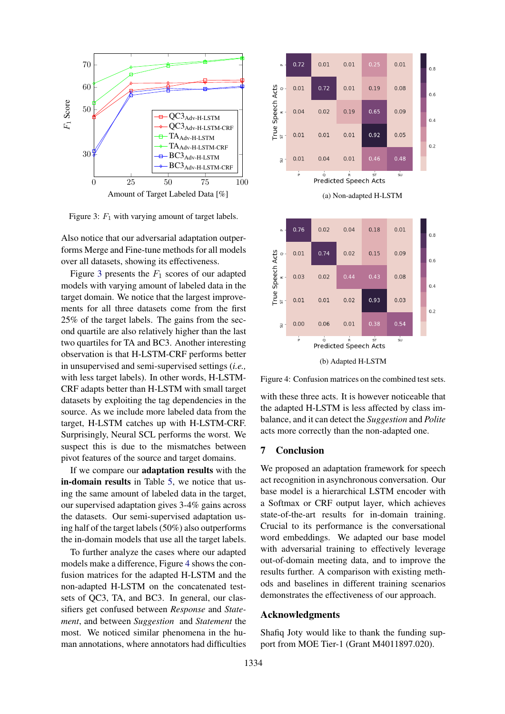<span id="page-8-0"></span>

Figure 3:  $F_1$  with varying amount of target labels.

Also notice that our adversarial adaptation outperforms Merge and Fine-tune methods for all models over all datasets, showing its effectiveness.

Figure [3](#page-8-0) presents the  $F_1$  scores of our adapted models with varying amount of labeled data in the target domain. We notice that the largest improvements for all three datasets come from the first 25% of the target labels. The gains from the second quartile are also relatively higher than the last two quartiles for TA and BC3. Another interesting observation is that H-LSTM-CRF performs better in unsupervised and semi-supervised settings (*i.e.,* with less target labels). In other words, H-LSTM-CRF adapts better than H-LSTM with small target datasets by exploiting the tag dependencies in the source. As we include more labeled data from the target, H-LSTM catches up with H-LSTM-CRF. Surprisingly, Neural SCL performs the worst. We suspect this is due to the mismatches between pivot features of the source and target domains.

If we compare our adaptation results with the in-domain results in Table [5,](#page-6-1) we notice that using the same amount of labeled data in the target, our supervised adaptation gives 3-4% gains across the datasets. Our semi-supervised adaptation using half of the target labels (50%) also outperforms the in-domain models that use all the target labels.

To further analyze the cases where our adapted models make a difference, Figure [4](#page-8-1) shows the confusion matrices for the adapted H-LSTM and the non-adapted H-LSTM on the concatenated testsets of QC3, TA, and BC3. In general, our classifiers get confused between *Response* and *Statement*, and between *Suggestion* and *Statement* the most. We noticed similar phenomena in the human annotations, where annotators had difficulties

<span id="page-8-1"></span>

Figure 4: Confusion matrices on the combined test sets.

with these three acts. It is however noticeable that the adapted H-LSTM is less affected by class imbalance, and it can detect the *Suggestion* and *Polite* acts more correctly than the non-adapted one.

## 7 Conclusion

We proposed an adaptation framework for speech act recognition in asynchronous conversation. Our base model is a hierarchical LSTM encoder with a Softmax or CRF output layer, which achieves state-of-the-art results for in-domain training. Crucial to its performance is the conversational word embeddings. We adapted our base model with adversarial training to effectively leverage out-of-domain meeting data, and to improve the results further. A comparison with existing methods and baselines in different training scenarios demonstrates the effectiveness of our approach.

### Acknowledgments

Shafiq Joty would like to thank the funding support from MOE Tier-1 (Grant M4011897.020).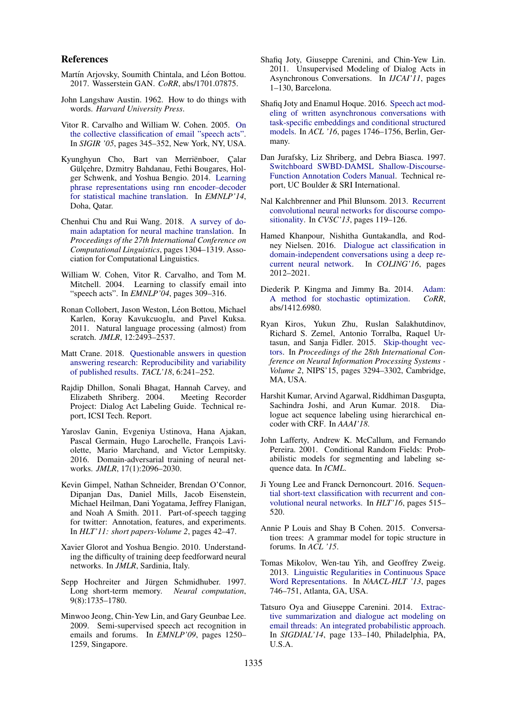#### References

- <span id="page-9-17"></span>Martín Arjovsky, Soumith Chintala, and Léon Bottou. 2017. Wasserstein GAN. *CoRR*, abs/1701.07875.
- <span id="page-9-1"></span>John Langshaw Austin. 1962. How to do things with words. *Harvard University Press*.
- <span id="page-9-8"></span>Vitor R. Carvalho and William W. Cohen. 2005. [On](https://doi.org/10.1145/1076034.1076094) [the collective classification of email "speech acts".](https://doi.org/10.1145/1076034.1076094) In *SIGIR '05*, pages 345–352, New York, NY, USA.
- <span id="page-9-25"></span>Kyunghyun Cho, Bart van Merriënboer, Calar Gülçehre, Dzmitry Bahdanau, Fethi Bougares, Holger Schwenk, and Yoshua Bengio. 2014. [Learning](http://www.aclweb.org/anthology/D14-1179) [phrase representations using rnn encoder–decoder](http://www.aclweb.org/anthology/D14-1179) [for statistical machine translation.](http://www.aclweb.org/anthology/D14-1179) In *EMNLP'14*, Doha, Qatar.
- <span id="page-9-26"></span>Chenhui Chu and Rui Wang. 2018. [A survey of do](http://aclweb.org/anthology/C18-1111)[main adaptation for neural machine translation.](http://aclweb.org/anthology/C18-1111) In *Proceedings of the 27th International Conference on Computational Linguistics*, pages 1304–1319. Association for Computational Linguistics.
- <span id="page-9-7"></span>William W. Cohen, Vitor R. Carvalho, and Tom M. Mitchell. 2004. Learning to classify email into "speech acts". In *EMNLP'04*, pages 309–316.
- <span id="page-9-15"></span>Ronan Collobert, Jason Weston, Léon Bottou, Michael Karlen, Koray Kavukcuoglu, and Pavel Kuksa. 2011. Natural language processing (almost) from scratch. *JMLR*, 12:2493–2537.
- <span id="page-9-24"></span>Matt Crane. 2018. [Questionable answers in question](http://aclweb.org/anthology/Q18-1018) [answering research: Reproducibility and variability](http://aclweb.org/anthology/Q18-1018) [of published results.](http://aclweb.org/anthology/Q18-1018) *TACL'18*, 6:241–252.
- <span id="page-9-3"></span>Rajdip Dhillon, Sonali Bhagat, Hannah Carvey, and Elizabeth Shriberg. 2004. Meeting Recorder Project: Dialog Act Labeling Guide. Technical report, ICSI Tech. Report.
- <span id="page-9-6"></span>Yaroslav Ganin, Evgeniya Ustinova, Hana Ajakan, Pascal Germain, Hugo Larochelle, François Laviolette, Mario Marchand, and Victor Lempitsky. 2016. Domain-adversarial training of neural networks. *JMLR*, 17(1):2096–2030.
- <span id="page-9-20"></span>Kevin Gimpel, Nathan Schneider, Brendan O'Connor, Dipanjan Das, Daniel Mills, Jacob Eisenstein, Michael Heilman, Dani Yogatama, Jeffrey Flanigan, and Noah A Smith. 2011. Part-of-speech tagging for twitter: Annotation, features, and experiments. In *HLT'11: short papers-Volume 2*, pages 42–47.
- <span id="page-9-23"></span>Xavier Glorot and Yoshua Bengio. 2010. Understanding the difficulty of training deep feedforward neural networks. In *JMLR*, Sardinia, Italy.
- <span id="page-9-14"></span>Sepp Hochreiter and Jürgen Schmidhuber. 1997. Long short-term memory. *Neural computation*, 9(8):1735–1780.
- <span id="page-9-4"></span>Minwoo Jeong, Chin-Yew Lin, and Gary Geunbae Lee. 2009. Semi-supervised speech act recognition in emails and forums. In *EMNLP'09*, pages 1250– 1259, Singapore.
- <span id="page-9-9"></span>Shafiq Joty, Giuseppe Carenini, and Chin-Yew Lin. 2011. Unsupervised Modeling of Dialog Acts in Asynchronous Conversations. In *IJCAI'11*, pages 1–130, Barcelona.
- <span id="page-9-5"></span>Shafiq Joty and Enamul Hoque. 2016. [Speech act mod](http://www.aclweb.org/anthology/P16-1165)[eling of written asynchronous conversations with](http://www.aclweb.org/anthology/P16-1165) [task-specific embeddings and conditional structured](http://www.aclweb.org/anthology/P16-1165) [models.](http://www.aclweb.org/anthology/P16-1165) In *ACL '16*, pages 1746–1756, Berlin, Germany.
- <span id="page-9-2"></span>Dan Jurafsky, Liz Shriberg, and Debra Biasca. 1997. [Switchboard SWBD-DAMSL Shallow-Discourse-](https://web.stanford.edu/~jurafsky/ws97/manual.august1.html)[Function Annotation Coders Manual.](https://web.stanford.edu/~jurafsky/ws97/manual.august1.html) Technical report, UC Boulder & SRI International.
- <span id="page-9-10"></span>Nal Kalchbrenner and Phil Blunsom. 2013. [Recurrent](http://www.aclweb.org/anthology/W13-3214) [convolutional neural networks for discourse compo](http://www.aclweb.org/anthology/W13-3214)[sitionality.](http://www.aclweb.org/anthology/W13-3214) In *CVSC'13*, pages 119–126.
- <span id="page-9-12"></span>Hamed Khanpour, Nishitha Guntakandla, and Rodney Nielsen. 2016. [Dialogue act classification in](http://www.aclweb.org/anthology/C16-1189) [domain-independent conversations using a deep re](http://www.aclweb.org/anthology/C16-1189)[current neural network.](http://www.aclweb.org/anthology/C16-1189) In *COLING'16*, pages 2012–2021.
- <span id="page-9-22"></span>Diederik P. Kingma and Jimmy Ba. 2014. [Adam:](http://arxiv.org/abs/1412.6980) [A method for stochastic optimization.](http://arxiv.org/abs/1412.6980) *CoRR*, abs/1412.6980.
- <span id="page-9-21"></span>Ryan Kiros, Yukun Zhu, Ruslan Salakhutdinov, Richard S. Zemel, Antonio Torralba, Raquel Urtasun, and Sanja Fidler. 2015. [Skip-thought vec](http://dl.acm.org/citation.cfm?id=2969442.2969607)[tors.](http://dl.acm.org/citation.cfm?id=2969442.2969607) In *Proceedings of the 28th International Conference on Neural Information Processing Systems - Volume 2*, NIPS'15, pages 3294–3302, Cambridge, MA, USA.
- <span id="page-9-13"></span>Harshit Kumar, Arvind Agarwal, Riddhiman Dasgupta, Sachindra Joshi, and Arun Kumar. 2018. Dialogue act sequence labeling using hierarchical encoder with CRF. In *AAAI'18*.
- <span id="page-9-16"></span>John Lafferty, Andrew K. McCallum, and Fernando Pereira. 2001. Conditional Random Fields: Probabilistic models for segmenting and labeling sequence data. In *ICML*.
- <span id="page-9-11"></span>Ji Young Lee and Franck Dernoncourt. 2016. [Sequen](https://doi.org/10.18653/v1/N16-1062)[tial short-text classification with recurrent and con](https://doi.org/10.18653/v1/N16-1062)[volutional neural networks.](https://doi.org/10.18653/v1/N16-1062) In *HLT'16*, pages 515– 520.
- <span id="page-9-0"></span>Annie P Louis and Shay B Cohen. 2015. Conversation trees: A grammar model for topic structure in forums. In *ACL '15*.
- <span id="page-9-19"></span>Tomas Mikolov, Wen-tau Yih, and Geoffrey Zweig. 2013. [Linguistic Regularities in Continuous Space](http://www.aclweb.org/anthology/N13-1090) [Word Representations.](http://www.aclweb.org/anthology/N13-1090) In *NAACL-HLT '13*, pages 746–751, Atlanta, GA, USA.
- <span id="page-9-18"></span>Tatsuro Oya and Giuseppe Carenini. 2014. [Extrac](http://www.aclweb.org/anthology/W14-4318)[tive summarization and dialogue act modeling on](http://www.aclweb.org/anthology/W14-4318) [email threads: An integrated probabilistic approach.](http://www.aclweb.org/anthology/W14-4318) In *SIGDIAL'14*, page 133–140, Philadelphia, PA, U.S.A.